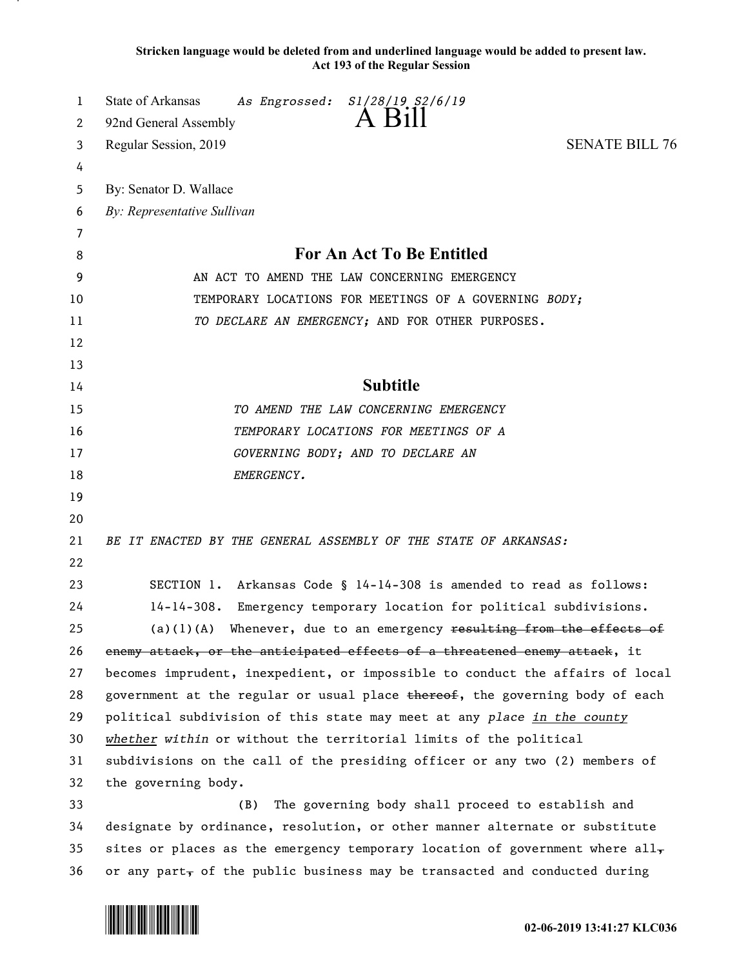**Stricken language would be deleted from and underlined language would be added to present law. Act 193 of the Regular Session**

| 1  | <b>State of Arkansas</b><br>As Engrossed: S1/28/19 S2/6/19<br>A Bill                        |
|----|---------------------------------------------------------------------------------------------|
| 2  | 92nd General Assembly                                                                       |
| 3  | <b>SENATE BILL 76</b><br>Regular Session, 2019                                              |
| 4  |                                                                                             |
| 5  | By: Senator D. Wallace                                                                      |
| 6  | By: Representative Sullivan                                                                 |
| 7  |                                                                                             |
| 8  | For An Act To Be Entitled                                                                   |
| 9  | AN ACT TO AMEND THE LAW CONCERNING EMERGENCY                                                |
| 10 | TEMPORARY LOCATIONS FOR MEETINGS OF A GOVERNING BODY;                                       |
| 11 | TO DECLARE AN EMERGENCY; AND FOR OTHER PURPOSES.                                            |
| 12 |                                                                                             |
| 13 |                                                                                             |
| 14 | <b>Subtitle</b>                                                                             |
| 15 | TO AMEND THE LAW CONCERNING EMERGENCY                                                       |
| 16 | TEMPORARY LOCATIONS FOR MEETINGS OF A                                                       |
| 17 | GOVERNING BODY; AND TO DECLARE AN                                                           |
| 18 | EMERGENCY.                                                                                  |
| 19 |                                                                                             |
| 20 |                                                                                             |
| 21 | BE IT ENACTED BY THE GENERAL ASSEMBLY OF THE STATE OF ARKANSAS:                             |
| 22 |                                                                                             |
| 23 | SECTION 1. Arkansas Code § 14-14-308 is amended to read as follows:                         |
| 24 | Emergency temporary location for political subdivisions.<br>$14 - 14 - 308$ .               |
| 25 | Whenever, due to an emergency resulting from the effects of<br>(a) (1) (A)                  |
| 26 | enemy attack, or the anticipated effects of a threatened enemy attack, it                   |
| 27 | becomes imprudent, inexpedient, or impossible to conduct the affairs of local               |
| 28 | government at the regular or usual place thereof, the governing body of each                |
| 29 | political subdivision of this state may meet at any place in the county                     |
| 30 | whether within or without the territorial limits of the political                           |
| 31 | subdivisions on the call of the presiding officer or any two (2) members of                 |
| 32 | the governing body.                                                                         |
| 33 | The governing body shall proceed to establish and<br>(B)                                    |
| 34 | designate by ordinance, resolution, or other manner alternate or substitute                 |
| 35 | sites or places as the emergency temporary location of government where all $_{\mathbf{z}}$ |
| 36 | or any part, of the public business may be transacted and conducted during                  |

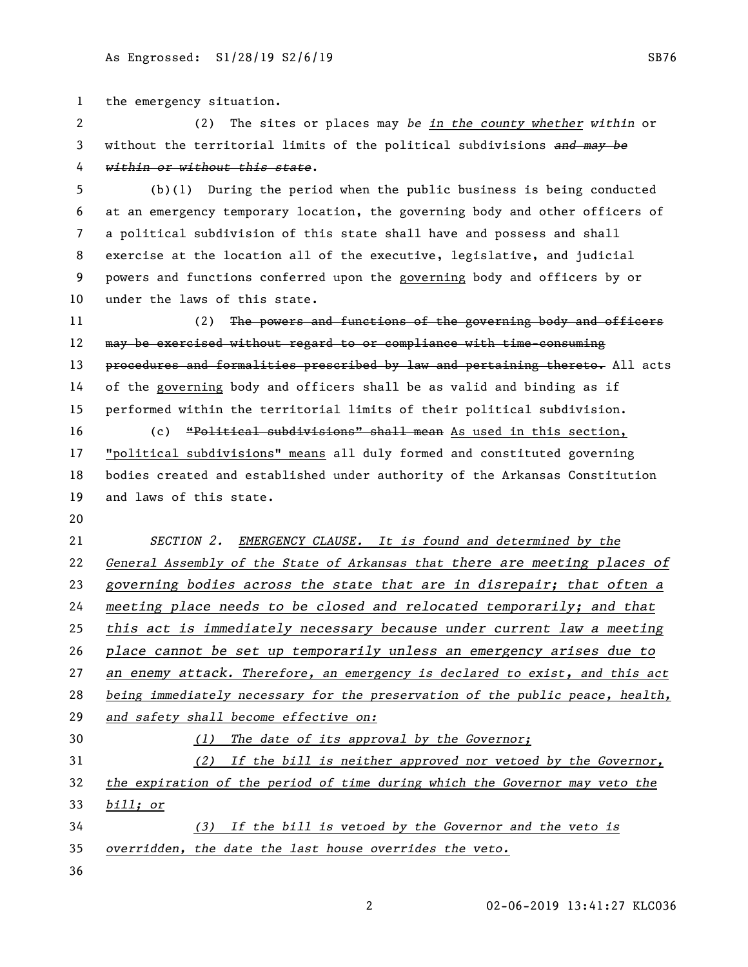the emergency situation.

 (2) The sites or places may *be in the county whether within* or without the territorial limits of the political subdivisions *and may be within or without this state*.

 (b)(1) During the period when the public business is being conducted at an emergency temporary location, the governing body and other officers of a political subdivision of this state shall have and possess and shall exercise at the location all of the executive, legislative, and judicial powers and functions conferred upon the governing body and officers by or under the laws of this state.

11 (2) The powers and functions of the governing body and officers 12 may be exercised without regard to or compliance with time-consuming 13 procedures and formalities prescribed by law and pertaining thereto. All acts of the governing body and officers shall be as valid and binding as if performed within the territorial limits of their political subdivision.

 (c) "Political subdivisions" shall mean As used in this section, "political subdivisions" means all duly formed and constituted governing bodies created and established under authority of the Arkansas Constitution and laws of this state.

 *SECTION 2. EMERGENCY CLAUSE. It is found and determined by the General Assembly of the State of Arkansas that there are meeting places of governing bodies across the state that are in disrepair; that often a meeting place needs to be closed and relocated temporarily; and that this act is immediately necessary because under current law a meeting place cannot be set up temporarily unless an emergency arises due to an enemy attack. Therefore, an emergency is declared to exist, and this act being immediately necessary for the preservation of the public peace, health, and safety shall become effective on: (1) The date of its approval by the Governor; (2) If the bill is neither approved nor vetoed by the Governor, the expiration of the period of time during which the Governor may veto the* 

*bill; or*

 *(3) If the bill is vetoed by the Governor and the veto is overridden, the date the last house overrides the veto.*

02-06-2019 13:41:27 KLC036